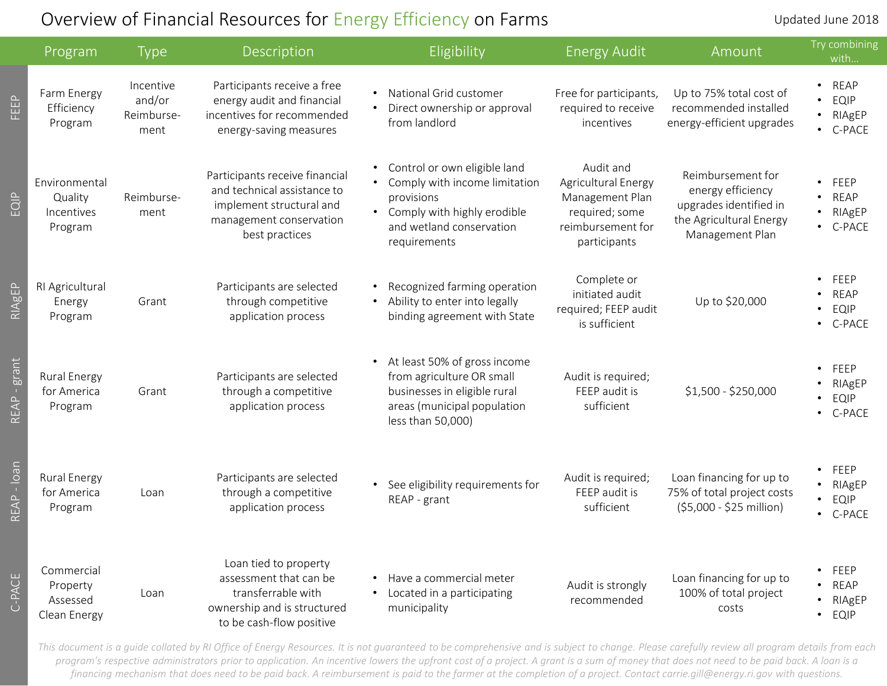## Overview of Financial Resources for Energy Efficiency on Farms

FEEP

REAP - grant

REAP - loan

RIAgEP<sup>|</sup>

EQIP

|                           | Program                                            | <b>Type</b>                               | Description                                                                                                                            | Eligibility                                                                                                                                              | <b>Energy Audit</b>                                                                                        | Amount                                                                                                         | Try combining<br>with                                                                       |
|---------------------------|----------------------------------------------------|-------------------------------------------|----------------------------------------------------------------------------------------------------------------------------------------|----------------------------------------------------------------------------------------------------------------------------------------------------------|------------------------------------------------------------------------------------------------------------|----------------------------------------------------------------------------------------------------------------|---------------------------------------------------------------------------------------------|
|                           | Farm Energy<br>Efficiency<br>Program               | Incentive<br>and/or<br>Reimburse-<br>ment | Participants receive a free<br>energy audit and financial<br>incentives for recommended<br>energy-saving measures                      | • National Grid customer<br>Direct ownership or approval<br>from landlord                                                                                | Free for participants,<br>required to receive<br>incentives                                                | Up to 75% total cost of<br>recommended installed<br>energy-efficient upgrades                                  | <b>REAP</b><br>$\bullet$<br>EQIP<br>$\bullet$<br>RIAgEP<br>$\bullet$<br>C-PACE<br>$\bullet$ |
| $\overline{\overline{C}}$ | Environmental<br>Quality<br>Incentives<br>Program  | Reimburse-<br>ment                        | Participants receive financial<br>and technical assistance to<br>implement structural and<br>management conservation<br>best practices | • Control or own eligible land<br>Comply with income limitation<br>provisions<br>Comply with highly erodible<br>and wetland conservation<br>requirements | Audit and<br>Agricultural Energy<br>Management Plan<br>required; some<br>reimbursement for<br>participants | Reimbursement for<br>energy efficiency<br>upgrades identified in<br>the Agricultural Energy<br>Management Plan | FEEP<br>$\bullet$<br><b>REAP</b><br>$\bullet$<br>RIAgEP<br>C-PACE<br>$\bullet$              |
|                           | RI Agricultural<br>Energy<br>Program               | Grant                                     | Participants are selected<br>through competitive<br>application process                                                                | Recognized farming operation<br>٠<br>Ability to enter into legally<br>binding agreement with State                                                       | Complete or<br>initiated audit<br>required; FEEP audit<br>is sufficient                                    | Up to \$20,000                                                                                                 | FEEP<br><b>REAP</b><br>EQIP<br>$\bullet$<br>C-PACE<br>$\bullet$                             |
| grant                     | <b>Rural Energy</b><br>for America<br>Program      | Grant                                     | Participants are selected<br>through a competitive<br>application process                                                              | At least 50% of gross income<br>from agriculture OR small<br>businesses in eligible rural<br>areas (municipal population<br>less than 50,000)            | Audit is required;<br>FEEP audit is<br>sufficient                                                          | \$1,500 - \$250,000                                                                                            | FEEP<br>$\bullet$<br>RIAgEP<br>EQIP<br>C-PACE                                               |
| loan                      | <b>Rural Energy</b><br>for America<br>Program      | Loan                                      | Participants are selected<br>through a competitive<br>application process                                                              | See eligibility requirements for<br>REAP - grant                                                                                                         | Audit is required;<br>FEEP audit is<br>sufficient                                                          | Loan financing for up to<br>75% of total project costs<br>(\$5,000 - \$25 million)                             | FEEP<br>$\bullet$<br>RIAgEP<br>$\bullet$<br>EQIP<br>C-PACE                                  |
| C-PACE                    | Commercial<br>Property<br>Assessed<br>Clean Energy | Loan                                      | Loan tied to property<br>assessment that can be<br>transferrable with<br>ownership and is structured<br>to be cash-flow positive       | Have a commercial meter<br>Located in a participating<br>municipality                                                                                    | Audit is strongly<br>recommended                                                                           | Loan financing for up to<br>100% of total project<br>costs                                                     | FEEP<br>$\bullet$<br><b>REAP</b><br>$\bullet$<br>RIAgEP<br>$\bullet$<br>EQIP                |

*This document is a guide collated by RI Office of Energy Resources. It is not guaranteed to be comprehensive and is subject to change. Please carefully review all program details from each program's respective administrators prior to application. An incentive lowers the upfront cost of a project. A grant is a sum of money that does not need to be paid back. A loan is a financing mechanism that does need to be paid back. A reimbursement is paid to the farmer at the completion of a project. Contact carrie.gill@energy.ri.gov with questions.*